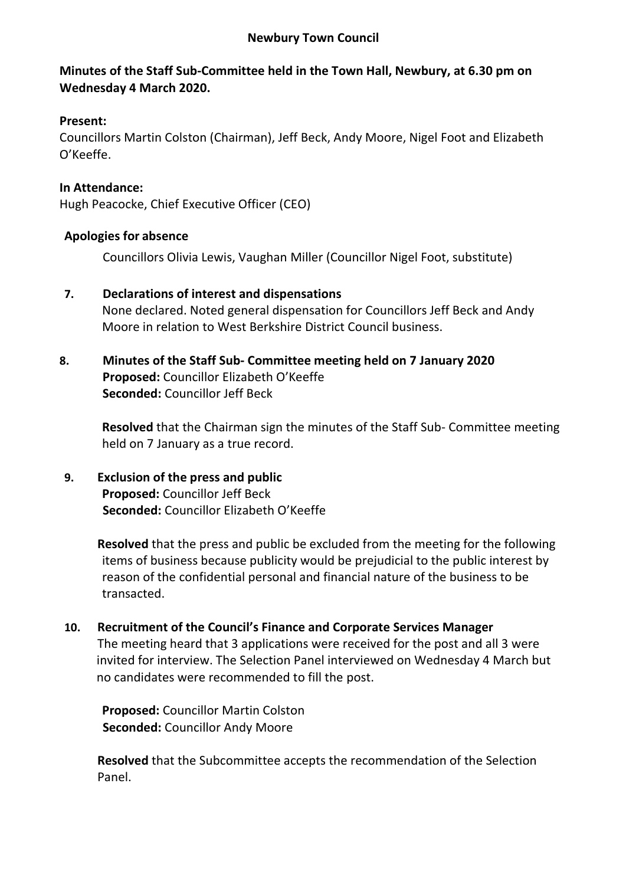#### **Newbury Town Council**

## **Minutes of the Staff Sub-Committee held in the Town Hall, Newbury, at 6.30 pm on Wednesday 4 March 2020.**

### **Present:**

Councillors Martin Colston (Chairman), Jeff Beck, Andy Moore, Nigel Foot and Elizabeth O'Keeffe.

### **In Attendance:**

Hugh Peacocke, Chief Executive Officer (CEO)

#### **Apologies for absence**

Councillors Olivia Lewis, Vaughan Miller (Councillor Nigel Foot, substitute)

- **7. Declarations of interest and dispensations** None declared. Noted general dispensation for Councillors Jeff Beck and Andy Moore in relation to West Berkshire District Council business.
- **8. Minutes of the Staff Sub- Committee meeting held on 7 January 2020 Proposed:** Councillor Elizabeth O'Keeffe **Seconded:** Councillor Jeff Beck

**Resolved** that the Chairman sign the minutes of the Staff Sub- Committee meeting held on 7 January as a true record.

**9. Exclusion of the press and public Proposed:** Councillor Jeff Beck **Seconded:** Councillor Elizabeth O'Keeffe

> **Resolved** that the press and public be excluded from the meeting for the following items of business because publicity would be prejudicial to the public interest by reason of the confidential personal and financial nature of the business to be transacted.

**10. Recruitment of the Council's Finance and Corporate Services Manager** The meeting heard that 3 applications were received for the post and all 3 were

invited for interview. The Selection Panel interviewed on Wednesday 4 March but no candidates were recommended to fill the post.

**Proposed:** Councillor Martin Colston **Seconded:** Councillor Andy Moore

**Resolved** that the Subcommittee accepts the recommendation of the Selection Panel.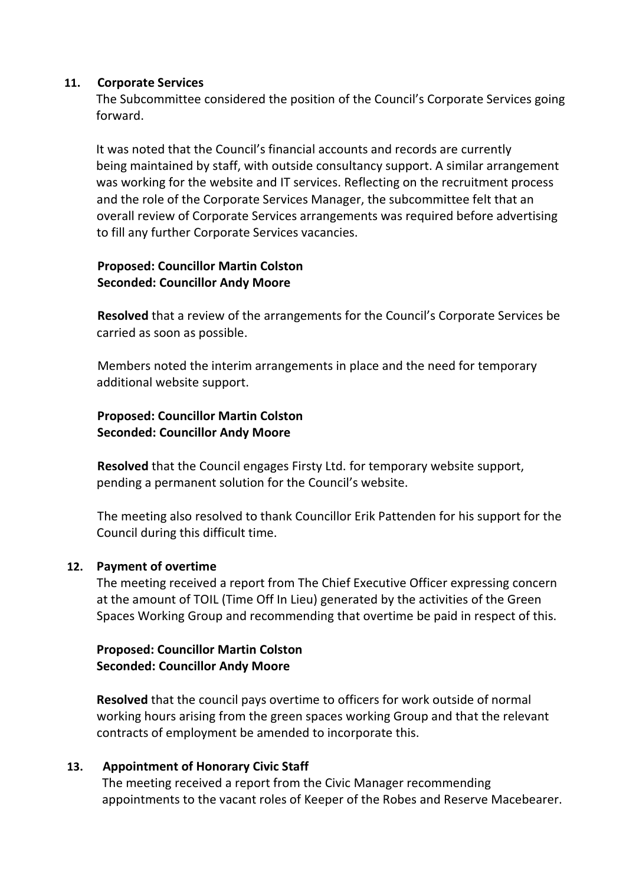#### **11. Corporate Services**

The Subcommittee considered the position of the Council's Corporate Services going forward.

It was noted that the Council's financial accounts and records are currently being maintained by staff, with outside consultancy support. A similar arrangement was working for the website and IT services. Reflecting on the recruitment process and the role of the Corporate Services Manager, the subcommittee felt that an overall review of Corporate Services arrangements was required before advertising to fill any further Corporate Services vacancies.

### **Proposed: Councillor Martin Colston Seconded: Councillor Andy Moore**

**Resolved** that a review of the arrangements for the Council's Corporate Services be carried as soon as possible.

Members noted the interim arrangements in place and the need for temporary additional website support.

## **Proposed: Councillor Martin Colston Seconded: Councillor Andy Moore**

**Resolved** that the Council engages Firsty Ltd. for temporary website support, pending a permanent solution for the Council's website.

The meeting also resolved to thank Councillor Erik Pattenden for his support for the Council during this difficult time.

## **12. Payment of overtime**

The meeting received a report from The Chief Executive Officer expressing concern at the amount of TOIL (Time Off In Lieu) generated by the activities of the Green Spaces Working Group and recommending that overtime be paid in respect of this.

#### **Proposed: Councillor Martin Colston Seconded: Councillor Andy Moore**

**Resolved** that the council pays overtime to officers for work outside of normal working hours arising from the green spaces working Group and that the relevant contracts of employment be amended to incorporate this.

#### **13. Appointment of Honorary Civic Staff**

The meeting received a report from the Civic Manager recommending appointments to the vacant roles of Keeper of the Robes and Reserve Macebearer.